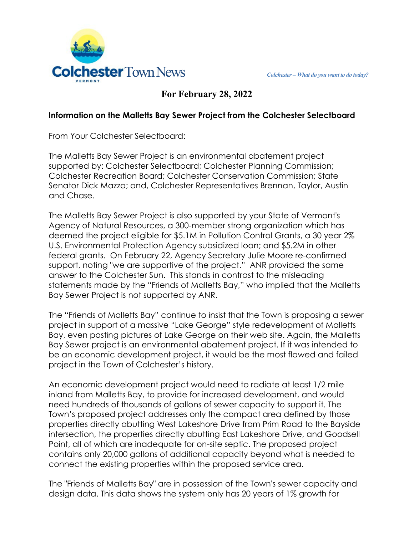

# **For February 28, 2022**

#### **Information on the Malletts Bay Sewer Project from the Colchester Selectboard**

From Your Colchester Selectboard:

The Malletts Bay Sewer Project is an environmental abatement project supported by: Colchester Selectboard; Colchester Planning Commission; Colchester Recreation Board; Colchester Conservation Commission; State Senator Dick Mazza; and, Colchester Representatives Brennan, Taylor, Austin and Chase.

The Malletts Bay Sewer Project is also supported by your State of Vermont's Agency of Natural Resources, a 300-member strong organization which has deemed the project eligible for \$5.1M in Pollution Control Grants, a 30 year 2% U.S. Environmental Protection Agency subsidized loan; and \$5.2M in other federal grants. On February 22, Agency Secretary Julie Moore re-confirmed support, noting "we are supportive of the project." ANR provided the same answer to the Colchester Sun. This stands in contrast to the misleading statements made by the "Friends of Malletts Bay," who implied that the Malletts Bay Sewer Project is not supported by ANR.

The "Friends of Malletts Bay" continue to insist that the Town is proposing a sewer project in support of a massive "Lake George" style redevelopment of Malletts Bay, even posting pictures of Lake George on their web site. Again, the Malletts Bay Sewer project is an environmental abatement project. If it was intended to be an economic development project, it would be the most flawed and failed project in the Town of Colchester's history.

An economic development project would need to radiate at least 1/2 mile inland from Malletts Bay, to provide for increased development, and would need hundreds of thousands of gallons of sewer capacity to support it. The Town's proposed project addresses only the compact area defined by those properties directly abutting West Lakeshore Drive from Prim Road to the Bayside intersection, the properties directly abutting East Lakeshore Drive, and Goodsell Point, all of which are inadequate for on-site septic. The proposed project contains only 20,000 gallons of additional capacity beyond what is needed to connect the existing properties within the proposed service area.

The "Friends of Malletts Bay" are in possession of the Town's sewer capacity and design data. This data shows the system only has 20 years of 1% growth for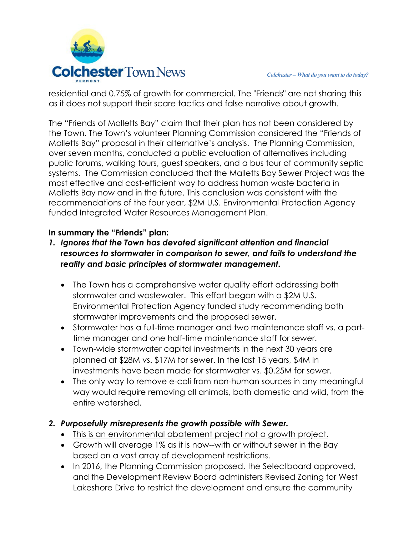residential and 0.75% of growth for commercial. The "Friends" are not sharing this as it does not support their scare tactics and false narrative about growth.

The "Friends of Malletts Bay" claim that their plan has not been considered by the Town. The Town's volunteer Planning Commission considered the "Friends of Malletts Bay" proposal in their alternative's analysis. The Planning Commission, over seven months, conducted a public evaluation of alternatives including public forums, walking tours, guest speakers, and a bus tour of community septic systems. The Commission concluded that the Malletts Bay Sewer Project was the most effective and cost-efficient way to address human waste bacteria in Malletts Bay now and in the future. This conclusion was consistent with the recommendations of the four year, \$2M U.S. Environmental Protection Agency funded Integrated Water Resources Management Plan.

## **In summary the "Friends" plan:**

- *1. Ignores that the Town has devoted significant attention and financial resources to stormwater in comparison to sewer, and fails to understand the reality and basic principles of stormwater management.*
	- The Town has a comprehensive water quality effort addressing both stormwater and wastewater. This effort began with a \$2M U.S. Environmental Protection Agency funded study recommending both stormwater improvements and the proposed sewer.
	- Stormwater has a full-time manager and two maintenance staff vs. a parttime manager and one half-time maintenance staff for sewer.
	- Town-wide stormwater capital investments in the next 30 years are planned at \$28M vs. \$17M for sewer. In the last 15 years, \$4M in investments have been made for stormwater vs. \$0.25M for sewer.
	- The only way to remove e-coli from non-human sources in any meaningful way would require removing all animals, both domestic and wild, from the entire watershed.

## *2. Purposefully misrepresents the growth possible with Sewer.*

- This is an environmental abatement project not a growth project.
- Growth will average 1% as it is now--with or without sewer in the Bay based on a vast array of development restrictions.
- In 2016, the Planning Commission proposed, the Selectboard approved, and the Development Review Board administers Revised Zoning for West Lakeshore Drive to restrict the development and ensure the community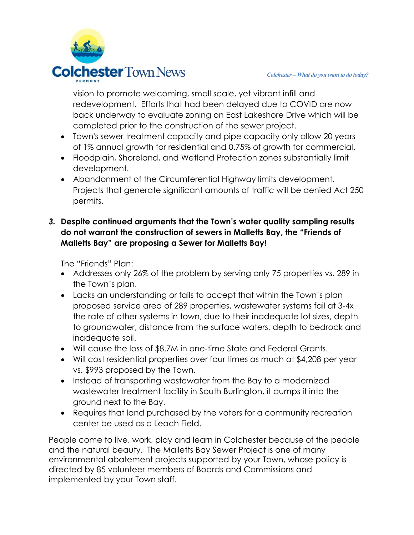

vision to promote welcoming, small scale, yet vibrant infill and redevelopment. Efforts that had been delayed due to COVID are now back underway to evaluate zoning on East Lakeshore Drive which will be completed prior to the construction of the sewer project.

- Town's sewer treatment capacity and pipe capacity only allow 20 years of 1% annual growth for residential and 0.75% of growth for commercial.
- Floodplain, Shoreland, and Wetland Protection zones substantially limit development.
- Abandonment of the Circumferential Highway limits development. Projects that generate significant amounts of traffic will be denied Act 250 permits.

## *3.* **Despite continued arguments that the Town's water quality sampling results do not warrant the construction of sewers in Malletts Bay, the "Friends of Malletts Bay" are proposing a Sewer for Malletts Bay!**

The "Friends" Plan:

- Addresses only 26% of the problem by serving only 75 properties vs. 289 in the Town's plan.
- Lacks an understanding or fails to accept that within the Town's plan proposed service area of 289 properties, wastewater systems fail at 3-4x the rate of other systems in town, due to their inadequate lot sizes, depth to groundwater, distance from the surface waters, depth to bedrock and inadequate soil.
- Will cause the loss of \$8.7M in one-time State and Federal Grants.
- Will cost residential properties over four times as much at \$4,208 per year vs. \$993 proposed by the Town.
- Instead of transporting wastewater from the Bay to a modernized wastewater treatment facility in South Burlington, it dumps it into the ground next to the Bay.
- Requires that land purchased by the voters for a community recreation center be used as a Leach Field.

People come to live, work, play and learn in Colchester because of the people and the natural beauty. The Malletts Bay Sewer Project is one of many environmental abatement projects supported by your Town, whose policy is directed by 85 volunteer members of Boards and Commissions and implemented by your Town staff.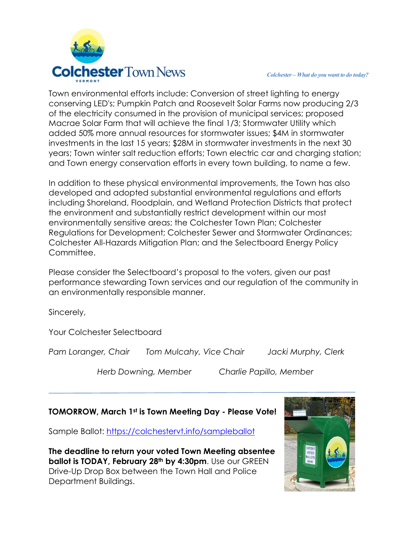

Town environmental efforts include: Conversion of street lighting to energy conserving LED's; Pumpkin Patch and Roosevelt Solar Farms now producing 2/3 of the electricity consumed in the provision of municipal services; proposed Macrae Solar Farm that will achieve the final 1/3; Stormwater Utility which added 50% more annual resources for stormwater issues; \$4M in stormwater investments in the last 15 years; \$28M in stormwater investments in the next 30 years; Town winter salt reduction efforts; Town electric car and charging station; and Town energy conservation efforts in every town building, to name a few.

In addition to these physical environmental improvements, the Town has also developed and adopted substantial environmental regulations and efforts including Shoreland, Floodplain, and Wetland Protection Districts that protect the environment and substantially restrict development within our most environmentally sensitive areas; the Colchester Town Plan; Colchester Regulations for Development; Colchester Sewer and Stormwater Ordinances; Colchester All-Hazards Mitigation Plan; and the Selectboard Energy Policy Committee.

Please consider the Selectboard's proposal to the voters, given our past performance stewarding Town services and our regulation of the community in an environmentally responsible manner.

Sincerely,

Your Colchester Selectboard

*Pam Loranger, Chair Tom Mulcahy, Vice Chair Jacki Murphy, Clerk*

*Herb Downing, Member Charlie Papillo, Member*

### **TOMORROW, March 1st is Town Meeting Day - Please Vote!**

Sample Ballot:<https://colchestervt.info/sampleballot>

**The deadline to return your voted Town Meeting absentee ballot is TODAY, February 28th by 4:30pm**. Use our GREEN Drive-Up Drop Box between the Town Hall and Police Department Buildings.